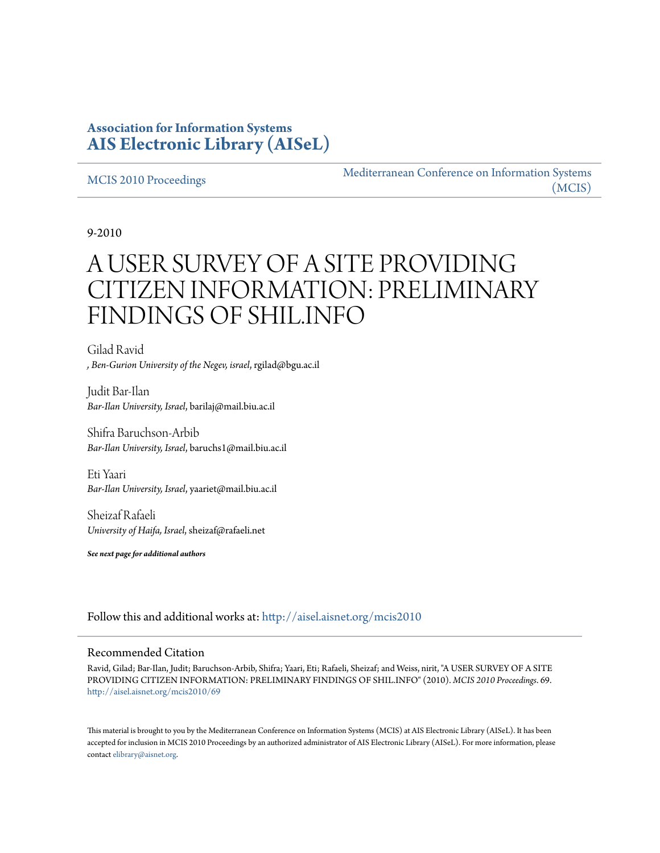# **Association for Information Systems [AIS Electronic Library \(AISeL\)](http://aisel.aisnet.org?utm_source=aisel.aisnet.org%2Fmcis2010%2F69&utm_medium=PDF&utm_campaign=PDFCoverPages)**

#### [MCIS 2010 Proceedings](http://aisel.aisnet.org/mcis2010?utm_source=aisel.aisnet.org%2Fmcis2010%2F69&utm_medium=PDF&utm_campaign=PDFCoverPages)

[Mediterranean Conference on Information Systems](http://aisel.aisnet.org/mcis?utm_source=aisel.aisnet.org%2Fmcis2010%2F69&utm_medium=PDF&utm_campaign=PDFCoverPages) [\(MCIS\)](http://aisel.aisnet.org/mcis?utm_source=aisel.aisnet.org%2Fmcis2010%2F69&utm_medium=PDF&utm_campaign=PDFCoverPages)

9-2010

# A USER SURVEY OF A SITE PROVIDING CITIZEN INFORMATION: PRELIMINARY FINDINGS OF SHIL.INFO

Gilad Ravid *, Ben-Gurion University of the Negev, israel*, rgilad@bgu.ac.il

Judit Bar-Ilan *Bar-Ilan University, Israel*, barilaj@mail.biu.ac.il

Shifra Baruchson-Arbib *Bar-Ilan University, Israel*, baruchs1@mail.biu.ac.il

Eti Yaari *Bar-Ilan University, Israel*, yaariet@mail.biu.ac.il

Sheizaf Rafaeli *University of Haifa, Israel*, sheizaf@rafaeli.net

*See next page for additional authors*

Follow this and additional works at: [http://aisel.aisnet.org/mcis2010](http://aisel.aisnet.org/mcis2010?utm_source=aisel.aisnet.org%2Fmcis2010%2F69&utm_medium=PDF&utm_campaign=PDFCoverPages)

#### Recommended Citation

Ravid, Gilad; Bar-Ilan, Judit; Baruchson-Arbib, Shifra; Yaari, Eti; Rafaeli, Sheizaf; and Weiss, nirit, "A USER SURVEY OF A SITE PROVIDING CITIZEN INFORMATION: PRELIMINARY FINDINGS OF SHIL.INFO" (2010). *MCIS 2010 Proceedings*. 69. [http://aisel.aisnet.org/mcis2010/69](http://aisel.aisnet.org/mcis2010/69?utm_source=aisel.aisnet.org%2Fmcis2010%2F69&utm_medium=PDF&utm_campaign=PDFCoverPages)

This material is brought to you by the Mediterranean Conference on Information Systems (MCIS) at AIS Electronic Library (AISeL). It has been accepted for inclusion in MCIS 2010 Proceedings by an authorized administrator of AIS Electronic Library (AISeL). For more information, please contact [elibrary@aisnet.org.](mailto:elibrary@aisnet.org%3E)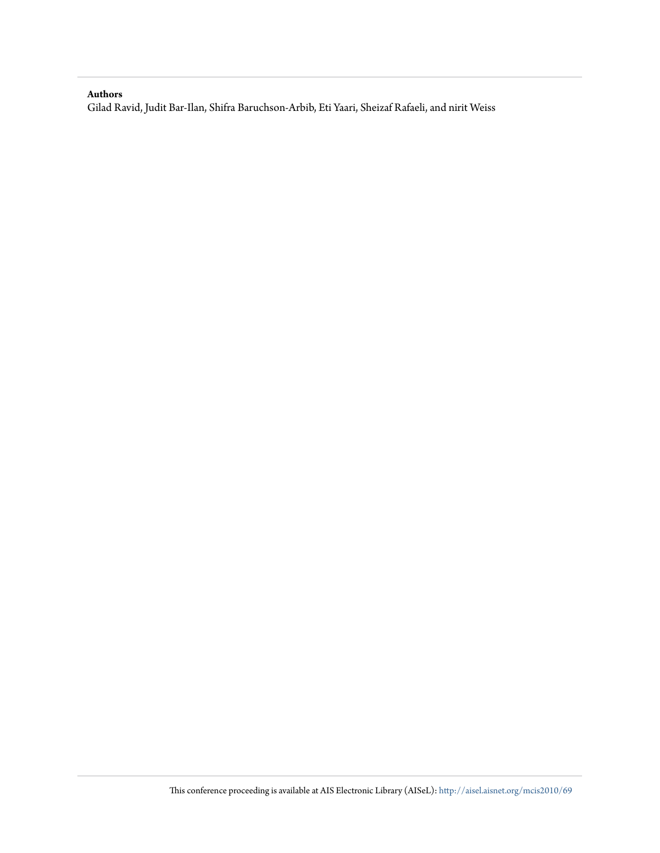#### **Authors**

Gilad Ravid, Judit Bar-Ilan, Shifra Baruchson-Arbib, Eti Yaari, Sheizaf Rafaeli, and nirit Weiss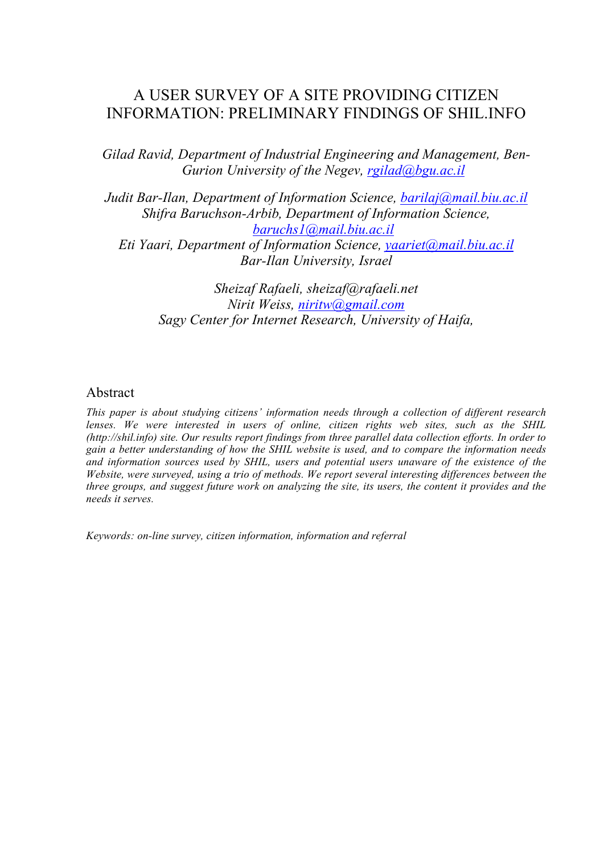# A USER SURVEY OF A SITE PROVIDING CITIZEN INFORMATION: PRELIMINARY FINDINGS OF SHIL.INFO

*Gilad Ravid, Department of Industrial Engineering and Management, Ben-Gurion University of the Negev, rgilad@bgu.ac.il*

*Judit Bar-Ilan, Department of Information Science, barilaj@mail.biu.ac.il Shifra Baruchson-Arbib, Department of Information Science, baruchs1@mail.biu.ac.il Eti Yaari, Department of Information Science, yaariet@mail.biu.ac.il Bar-Ilan University, Israel*

> *Sheizaf Rafaeli, sheizaf@rafaeli.net Nirit Weiss, niritw@gmail.com Sagy Center for Internet Research, University of Haifa,*

### Abstract

*This paper is about studying citizens' information needs through a collection of different research lenses. We were interested in users of online, citizen rights web sites, such as the SHIL (http://shil.info) site. Our results report findings from three parallel data collection efforts. In order to gain a better understanding of how the SHIL website is used, and to compare the information needs and information sources used by SHIL, users and potential users unaware of the existence of the Website, were surveyed, using a trio of methods. We report several interesting differences between the three groups, and suggest future work on analyzing the site, its users, the content it provides and the needs it serves.*

*Keywords: on-line survey, citizen information, information and referral*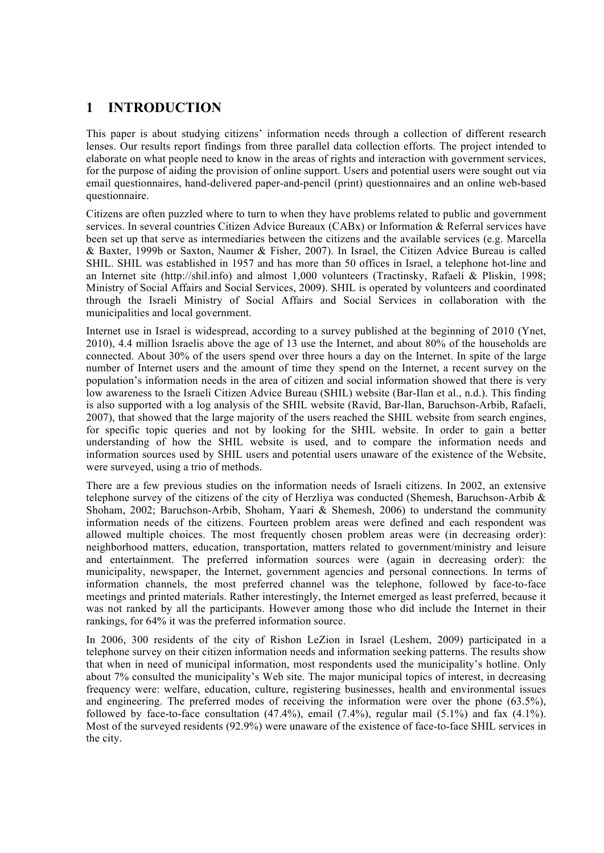### **1 INTRODUCTION**

This paper is about studying citizens' information needs through a collection of different research lenses. Our results report findings from three parallel data collection efforts. The project intended to elaborate on what people need to know in the areas of rights and interaction with government services, for the purpose of aiding the provision of online support. Users and potential users were sought out via email questionnaires, hand-delivered paper-and-pencil (print) questionnaires and an online web-based questionnaire.

Citizens are often puzzled where to turn to when they have problems related to public and government services. In several countries Citizen Advice Bureaux (CABx) or Information & Referral services have been set up that serve as intermediaries between the citizens and the available services (e.g. Marcella & Baxter, 1999b or Saxton, Naumer & Fisher, 2007). In Israel, the Citizen Advice Bureau is called SHIL. SHIL was established in 1957 and has more than 50 offices in Israel, a telephone hot-line and an Internet site (http://shil.info) and almost 1,000 volunteers (Tractinsky, Rafaeli & Pliskin, 1998; Ministry of Social Affairs and Social Services, 2009). SHIL is operated by volunteers and coordinated through the Israeli Ministry of Social Affairs and Social Services in collaboration with the municipalities and local government.

Internet use in Israel is widespread, according to a survey published at the beginning of 2010 (Ynet, 2010), 4.4 million Israelis above the age of 13 use the Internet, and about 80% of the households are connected. About 30% of the users spend over three hours a day on the Internet. In spite of the large number of Internet users and the amount of time they spend on the Internet, a recent survey on the population's information needs in the area of citizen and social information showed that there is very low awareness to the Israeli Citizen Advice Bureau (SHIL) website (Bar-Ilan et al., n.d.). This finding is also supported with a log analysis of the SHIL website (Ravid, Bar-Ilan, Baruchson-Arbib, Rafaeli, 2007), that showed that the large majority of the users reached the SHIL website from search engines, for specific topic queries and not by looking for the SHIL website. In order to gain a better understanding of how the SHIL website is used, and to compare the information needs and information sources used by SHIL users and potential users unaware of the existence of the Website, were surveyed, using a trio of methods.

There are a few previous studies on the information needs of Israeli citizens. In 2002, an extensive telephone survey of the citizens of the city of Herzliya was conducted (Shemesh, Baruchson-Arbib & Shoham, 2002; Baruchson-Arbib, Shoham, Yaari & Shemesh, 2006) to understand the community information needs of the citizens. Fourteen problem areas were defined and each respondent was allowed multiple choices. The most frequently chosen problem areas were (in decreasing order): neighborhood matters, education, transportation, matters related to government/ministry and leisure and entertainment. The preferred information sources were (again in decreasing order): the municipality, newspaper, the Internet, government agencies and personal connections. In terms of information channels, the most preferred channel was the telephone, followed by face-to-face meetings and printed materials. Rather interestingly, the Internet emerged as least preferred, because it was not ranked by all the participants. However among those who did include the Internet in their rankings, for 64% it was the preferred information source.

In 2006, 300 residents of the city of Rishon LeZion in Israel (Leshem, 2009) participated in a telephone survey on their citizen information needs and information seeking patterns. The results show that when in need of municipal information, most respondents used the municipality's hotline. Only about 7% consulted the municipality's Web site. The major municipal topics of interest, in decreasing frequency were: welfare, education, culture, registering businesses, health and environmental issues and engineering. The preferred modes of receiving the information were over the phone (63.5%), followed by face-to-face consultation  $(47.4\%)$ , email  $(7.4\%)$ , regular mail  $(5.1\%)$  and fax  $(4.1\%)$ . Most of the surveyed residents (92.9%) were unaware of the existence of face-to-face SHIL services in the city.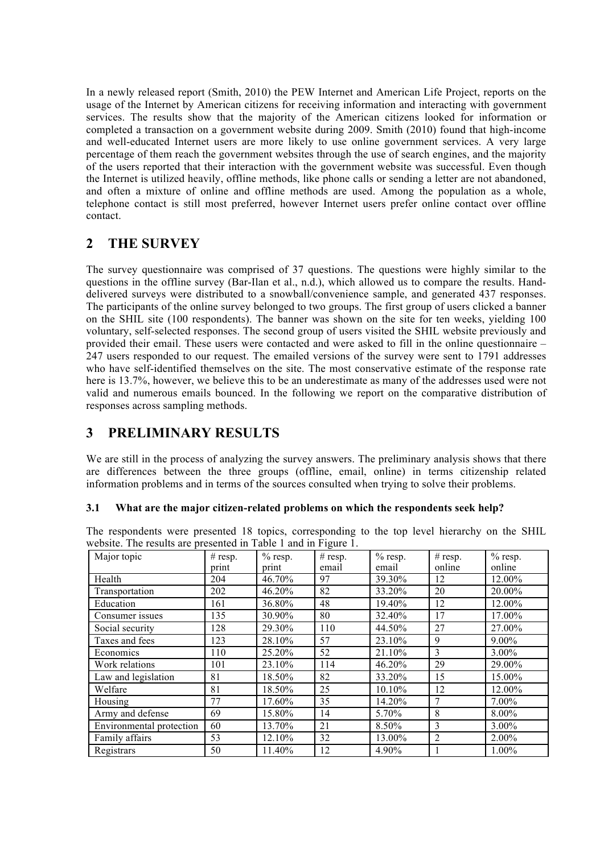In a newly released report (Smith, 2010) the PEW Internet and American Life Project, reports on the usage of the Internet by American citizens for receiving information and interacting with government services. The results show that the majority of the American citizens looked for information or completed a transaction on a government website during 2009. Smith (2010) found that high-income and well-educated Internet users are more likely to use online government services. A very large percentage of them reach the government websites through the use of search engines, and the majority of the users reported that their interaction with the government website was successful. Even though the Internet is utilized heavily, offline methods, like phone calls or sending a letter are not abandoned, and often a mixture of online and offline methods are used. Among the population as a whole, telephone contact is still most preferred, however Internet users prefer online contact over offline contact.

# **2 THE SURVEY**

The survey questionnaire was comprised of 37 questions. The questions were highly similar to the questions in the offline survey (Bar-Ilan et al., n.d.), which allowed us to compare the results. Handdelivered surveys were distributed to a snowball/convenience sample, and generated 437 responses. The participants of the online survey belonged to two groups. The first group of users clicked a banner on the SHIL site (100 respondents). The banner was shown on the site for ten weeks, yielding 100 voluntary, self-selected responses. The second group of users visited the SHIL website previously and provided their email. These users were contacted and were asked to fill in the online questionnaire – 247 users responded to our request. The emailed versions of the survey were sent to 1791 addresses who have self-identified themselves on the site. The most conservative estimate of the response rate here is 13.7%, however, we believe this to be an underestimate as many of the addresses used were not valid and numerous emails bounced. In the following we report on the comparative distribution of responses across sampling methods.

# **3 PRELIMINARY RESULTS**

We are still in the process of analyzing the survey answers. The preliminary analysis shows that there are differences between the three groups (offline, email, online) in terms citizenship related information problems and in terms of the sources consulted when trying to solve their problems.

#### **3.1 What are the major citizen-related problems on which the respondents seek help?**

|  |  |  | The respondents were presented 18 topics, corresponding to the top level hierarchy on the SHIL |  |  |  |  |
|--|--|--|------------------------------------------------------------------------------------------------|--|--|--|--|
|  |  |  | website. The results are presented in Table 1 and in Figure 1.                                 |  |  |  |  |

| Major topic              | # resp. | $%$ resp. | # $resp.$ | $%$ resp. | # $resp.$      | $%$ resp. |
|--------------------------|---------|-----------|-----------|-----------|----------------|-----------|
|                          | print   | print     | email     | email     | online         | online    |
| Health                   | 204     | 46.70%    | 97        | 39.30%    | 12             | 12.00%    |
| Transportation           | 202     | 46.20%    | 82        | 33.20%    | 20             | 20.00%    |
| Education                | 161     | 36.80%    | 48        | 19.40%    | 12             | 12.00%    |
| Consumer issues          | 135     | 30.90%    | 80        | 32.40%    | 17             | 17.00%    |
| Social security          | 128     | 29.30%    | 110       | 44.50%    | 27             | 27.00%    |
| Taxes and fees           | 123     | 28.10%    | 57        | 23.10%    | 9              | $9.00\%$  |
| Economics                | 110     | 25.20%    | 52        | 21.10%    | 3              | 3.00%     |
| Work relations           | 101     | 23.10%    | 114       | 46.20%    | 29             | 29.00%    |
| Law and legislation      | 81      | 18.50%    | 82        | 33.20%    | 15             | 15.00%    |
| Welfare                  | 81      | 18.50%    | 25        | $10.10\%$ | 12             | 12.00%    |
| Housing                  | 77      | 17.60%    | 35        | 14.20%    | 7              | 7.00%     |
| Army and defense         | 69      | 15.80%    | 14        | 5.70%     | 8              | 8.00%     |
| Environmental protection | 60      | 13.70%    | 21        | 8.50%     | 3              | 3.00%     |
| Family affairs           | 53      | 12.10%    | 32        | 13.00%    | $\overline{2}$ | 2.00%     |
| Registrars               | 50      | 11.40%    | 12        | 4.90%     |                | 1.00%     |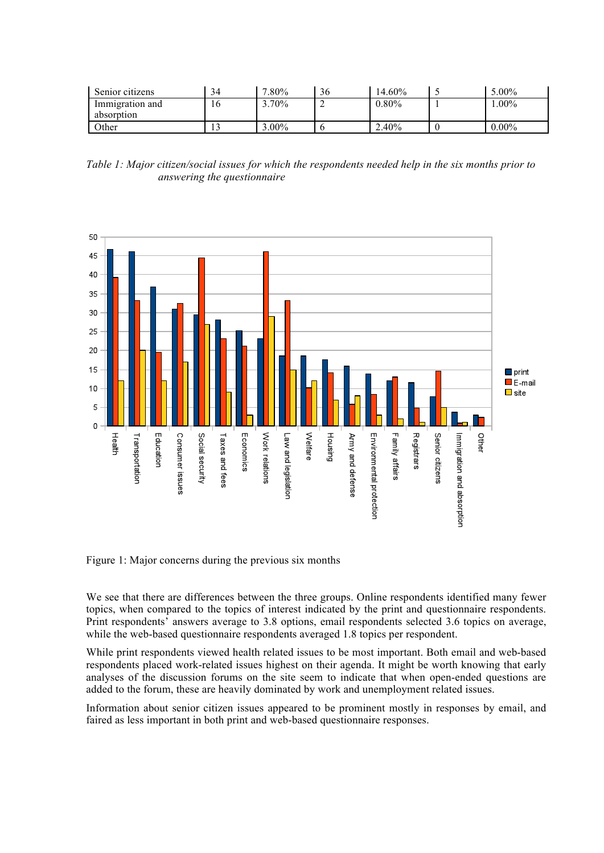| Senior citizens | 34  | $.80\%$ | 36 | 14.60% | $.00\%$  |
|-----------------|-----|---------|----|--------|----------|
| Immigration and | l b | $.70\%$ |    | 0.80%  | $.00\%$  |
| absorption      |     |         |    |        |          |
| <b>Other</b>    |     | $.00\%$ |    | 2.40%  | $0.00\%$ |

*Table 1: Major citizen/social issues for which the respondents needed help in the six months prior to answering the questionnaire*



Figure 1: Major concerns during the previous six months

We see that there are differences between the three groups. Online respondents identified many fewer topics, when compared to the topics of interest indicated by the print and questionnaire respondents. Print respondents' answers average to 3.8 options, email respondents selected 3.6 topics on average, while the web-based questionnaire respondents averaged 1.8 topics per respondent.

While print respondents viewed health related issues to be most important. Both email and web-based respondents placed work-related issues highest on their agenda. It might be worth knowing that early analyses of the discussion forums on the site seem to indicate that when open-ended questions are added to the forum, these are heavily dominated by work and unemployment related issues.

Information about senior citizen issues appeared to be prominent mostly in responses by email, and faired as less important in both print and web-based questionnaire responses.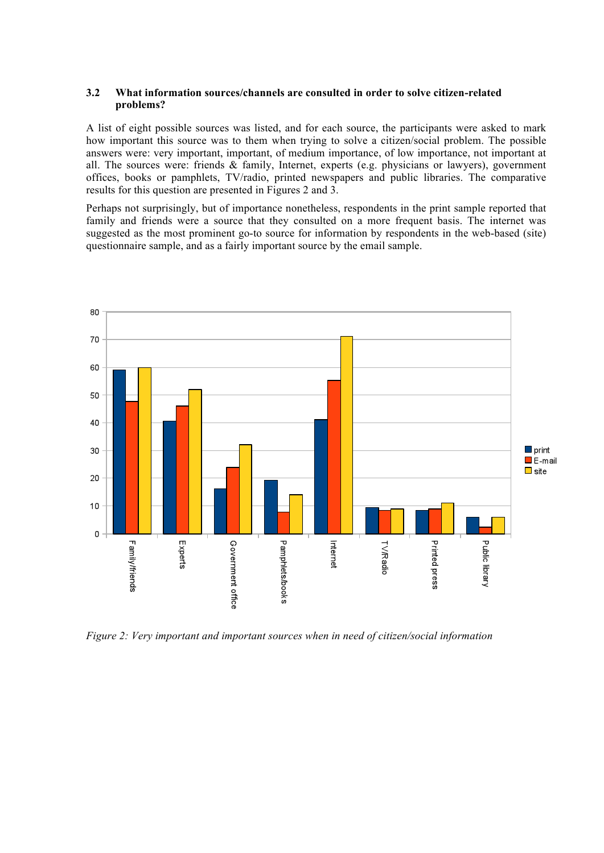#### **3.2 What information sources/channels are consulted in order to solve citizen-related problems?**

A list of eight possible sources was listed, and for each source, the participants were asked to mark how important this source was to them when trying to solve a citizen/social problem. The possible answers were: very important, important, of medium importance, of low importance, not important at all. The sources were: friends & family, Internet, experts (e.g. physicians or lawyers), government offices, books or pamphlets, TV/radio, printed newspapers and public libraries. The comparative results for this question are presented in Figures 2 and 3.

Perhaps not surprisingly, but of importance nonetheless, respondents in the print sample reported that family and friends were a source that they consulted on a more frequent basis. The internet was suggested as the most prominent go-to source for information by respondents in the web-based (site) questionnaire sample, and as a fairly important source by the email sample.



*Figure 2: Very important and important sources when in need of citizen/social information*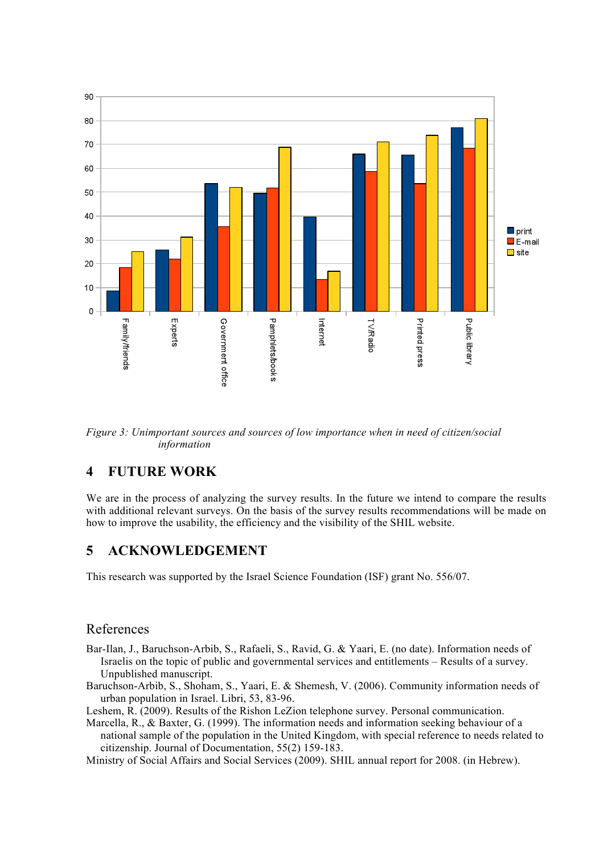

*Figure 3: Unimportant sources and sources of low importance when in need of citizen/social information* 

### **4 FUTURE WORK**

We are in the process of analyzing the survey results. In the future we intend to compare the results with additional relevant surveys. On the basis of the survey results recommendations will be made on how to improve the usability, the efficiency and the visibility of the SHIL website.

### **5 ACKNOWLEDGEMENT**

This research was supported by the Israel Science Foundation (ISF) grant No. 556/07.

#### References

- Bar-Ilan, J., Baruchson-Arbib, S., Rafaeli, S., Ravid, G. & Yaari, E. (no date). Information needs of Israelis on the topic of public and governmental services and entitlements – Results of a survey. Unpublished manuscript.
- Baruchson-Arbib, S., Shoham, S., Yaari, E. & Shemesh, V. (2006). Community information needs of urban population in Israel. Libri, 53, 83-96.

Leshem, R. (2009). Results of the Rishon LeZion telephone survey. Personal communication.

Marcella, R., & Baxter, G. (1999). The information needs and information seeking behaviour of a national sample of the population in the United Kingdom, with special reference to needs related to citizenship. Journal of Documentation, 55(2) 159-183.

Ministry of Social Affairs and Social Services (2009). SHIL annual report for 2008. (in Hebrew).